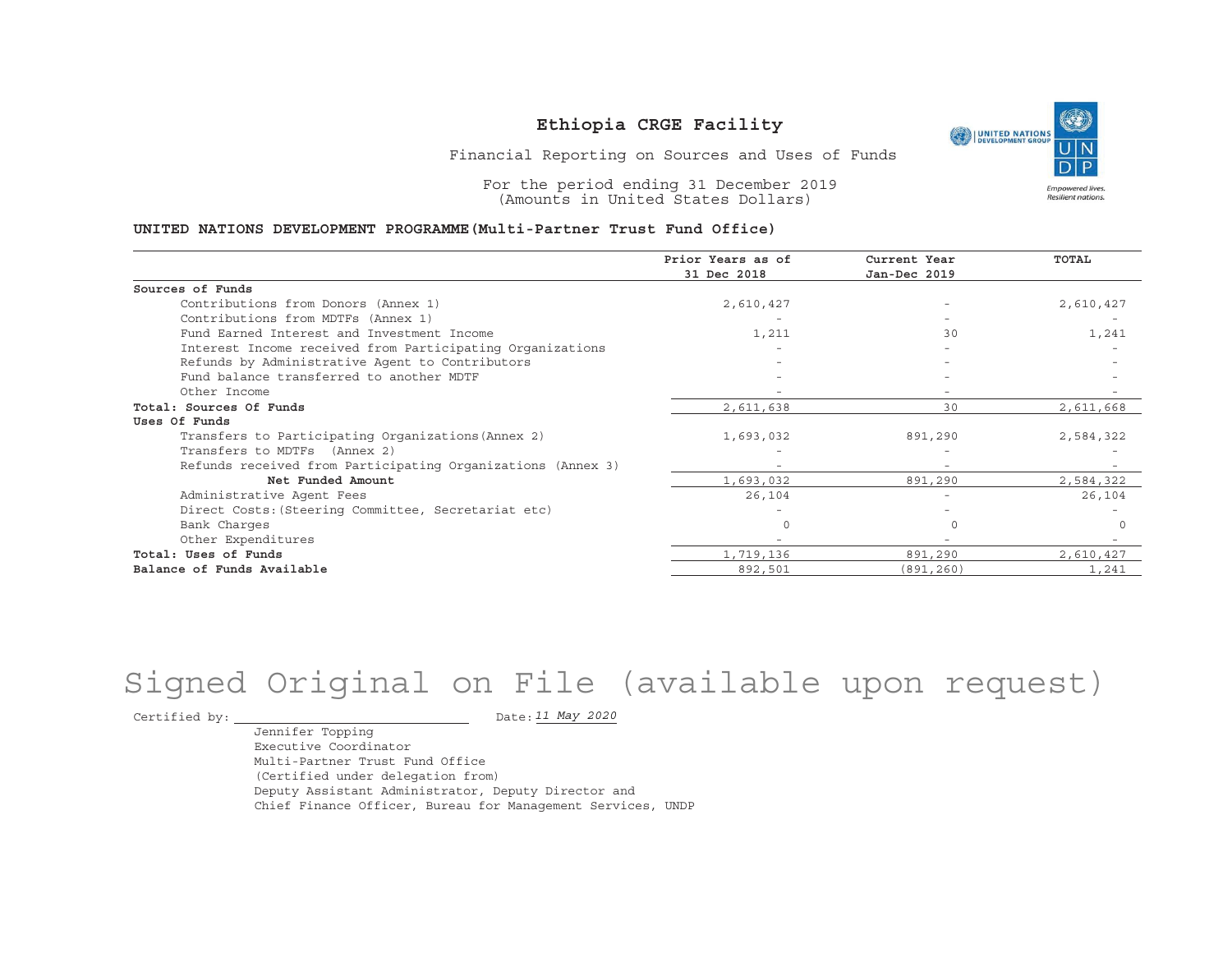

Financial Reporting on Sources and Uses of Funds

For the period ending 31 December 2019 (Amounts in United States Dollars)

#### **UNITED NATIONS DEVELOPMENT PROGRAMME(Multi-Partner Trust Fund Office)**

|                                                             | Prior Years as of<br>31 Dec 2018 | Current Year<br>Jan-Dec 2019 | <b>TOTAL</b> |
|-------------------------------------------------------------|----------------------------------|------------------------------|--------------|
| Sources of Funds                                            |                                  |                              |              |
|                                                             |                                  |                              |              |
| Contributions from Donors (Annex 1)                         | 2,610,427                        |                              | 2,610,427    |
| Contributions from MDTFs (Annex 1)                          |                                  |                              |              |
| Fund Earned Interest and Investment Income                  | 1,211                            | 30                           | 1,241        |
| Interest Income received from Participating Organizations   |                                  |                              |              |
| Refunds by Administrative Agent to Contributors             |                                  |                              |              |
| Fund balance transferred to another MDTF                    |                                  |                              |              |
| Other Income                                                |                                  |                              |              |
| Total: Sources Of Funds                                     | 2,611,638                        | 30                           | 2,611,668    |
| Uses Of Funds                                               |                                  |                              |              |
| Transfers to Participating Organizations (Annex 2)          | 1,693,032                        | 891,290                      | 2,584,322    |
| Transfers to MDTFs (Annex 2)                                |                                  |                              |              |
| Refunds received from Participating Organizations (Annex 3) | $\overline{\phantom{0}}$         | $\overline{\phantom{a}}$     |              |
| Net Funded Amount                                           | 1,693,032                        | 891,290                      | 2,584,322    |
| Administrative Agent Fees                                   | 26,104                           | $\overline{\phantom{a}}$     | 26,104       |
| Direct Costs: (Steering Committee, Secretariat etc)         |                                  |                              |              |
| Bank Charges                                                |                                  |                              |              |
| Other Expenditures                                          |                                  |                              |              |
| Total: Uses of Funds                                        | 1,719,136                        | 891,290                      | 2,610,427    |
| Balance of Funds Available                                  | 892,501                          | (891,260)                    | 1,241        |

# Signed Original on File (available upon request)

Certified by:  $\_$ 

*11 May 2020*

Jennifer Topping Executive CoordinatorMulti-Partner Trust Fund Office(Certified under delegation from) Deputy Assistant Administrator, Deputy Director and Chief Finance Officer, Bureau for Management Services, UNDP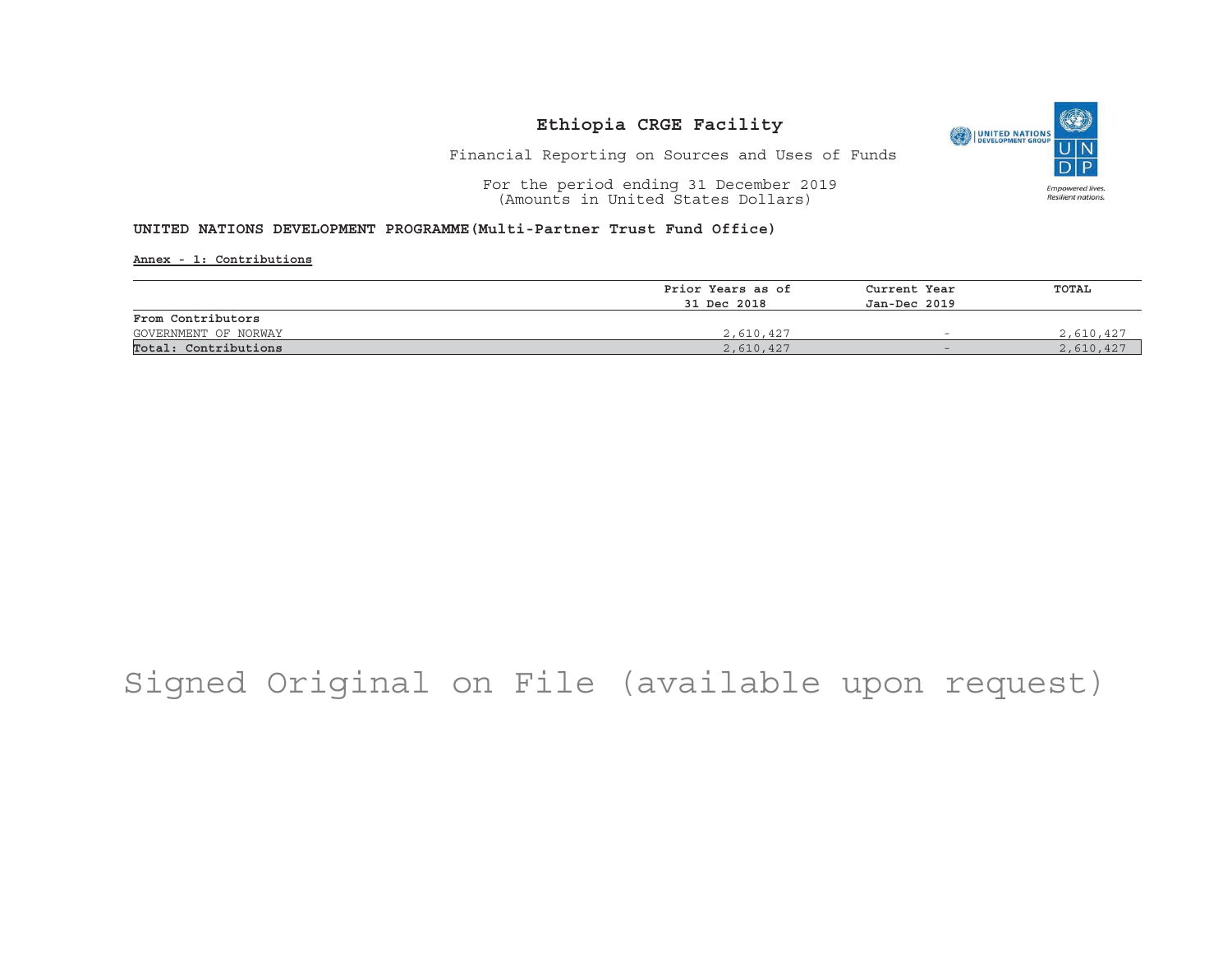

Financial Reporting on Sources and Uses of Funds

For the period ending 31 December 2019 (Amounts in United States Dollars)

#### **UNITED NATIONS DEVELOPMENT PROGRAMME(Multi-Partner Trust Fund Office)**

**Annex - 1: Contributions**

|                      | Prior Years as of | Current Year<br>Jan-Dec 2019 | TOTAL     |
|----------------------|-------------------|------------------------------|-----------|
|                      | 31 Dec 2018       |                              |           |
| From Contributors    |                   |                              |           |
| GOVERNMENT OF NORWAY | 2,610,427         | $\overline{\phantom{a}}$     | 2,610,427 |
| Total: Contributions | 2,610,427         | $\overline{\phantom{0}}$     | 2,610,427 |

## Signed Original on File (available upon request)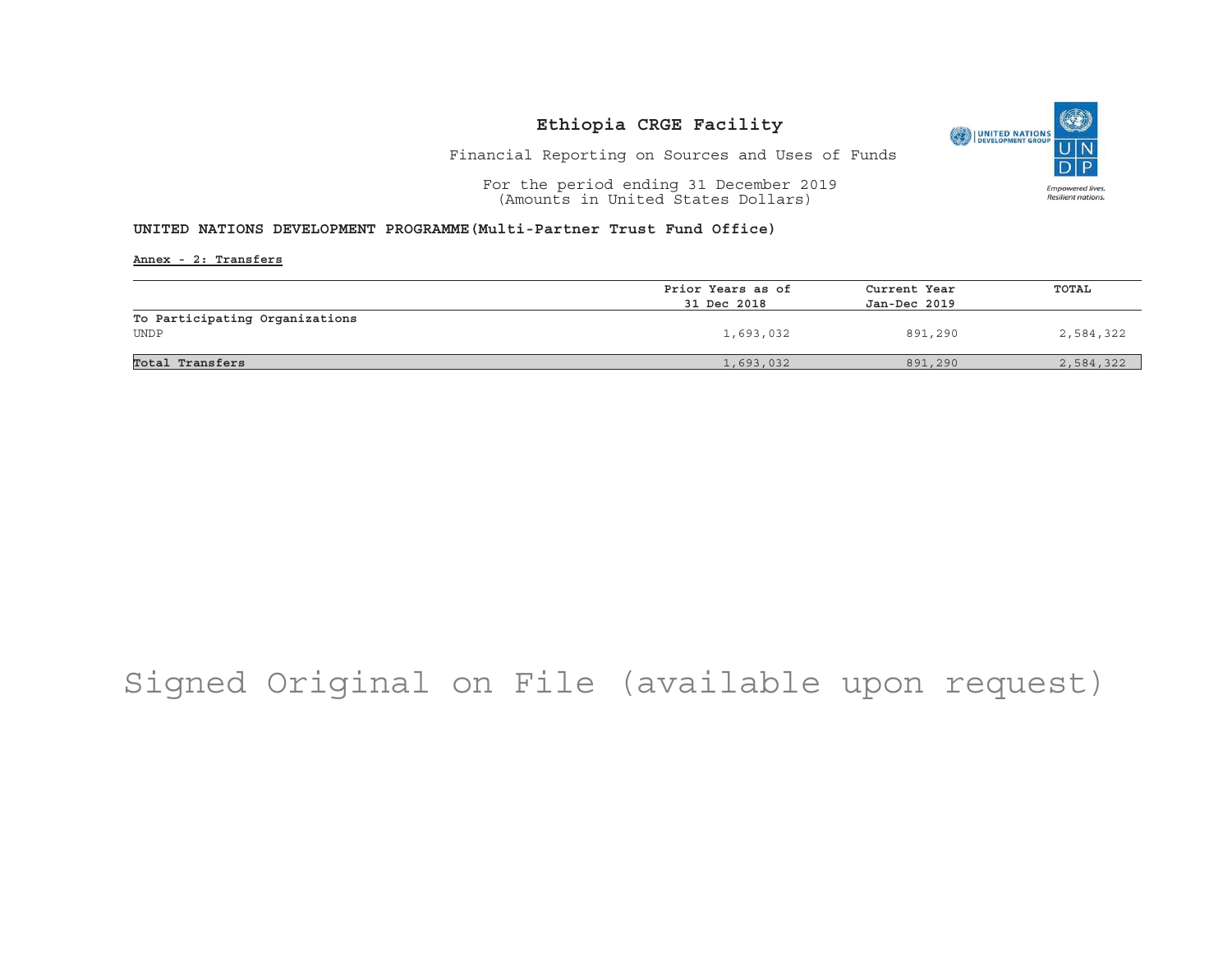

Financial Reporting on Sources and Uses of Funds

For the period ending 31 December 2019 (Amounts in United States Dollars)

#### **UNITED NATIONS DEVELOPMENT PROGRAMME(Multi-Partner Trust Fund Office)**

**Annex - 2: Transfers**

|                                | Prior Years as of | Current Year | TOTAL     |
|--------------------------------|-------------------|--------------|-----------|
|                                | 31 Dec 2018       | Jan-Dec 2019 |           |
| To Participating Organizations |                   |              |           |
| <b>UNDP</b>                    | 1,693,032         | 891,290      | 2,584,322 |
|                                |                   |              |           |
| Total Transfers                | 1,693,032         | 891,290      | 2,584,322 |

## Signed Original on File (available upon request)